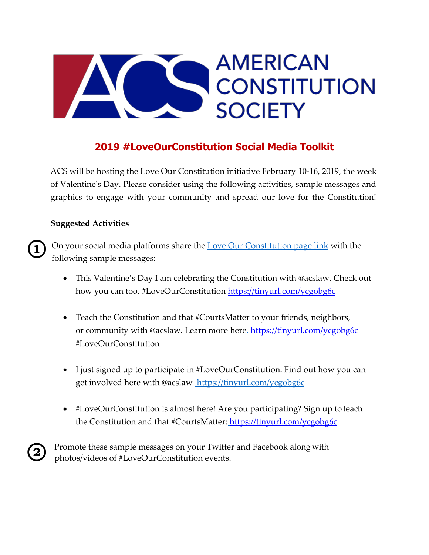# **AMERICAN** IS **CONSTITUTION SOCIETY**

## **2019 #LoveOurConstitution Social Media Toolkit**

ACS will be hosting the Love Our Constitution initiative February 10-16, 2019, the week of Valentine's Day. Please consider using the following activities, sample messages and graphics to engage with your community and spread our love for the Constitution!

#### **Suggested Activities**

On your social media platforms share the [Love Our Constitution page link](https://www.acslaw.org/get-involved/volunteer-opportunities/love-our-constitution/) with the following sample messages:

- This Valentine's Day I am celebrating the Constitution with @acslaw. Check out how you can too. #LoveOurConstitution<https://tinyurl.com/ycgobg6c>
- Teach the Constitution and that #CourtsMatter to your friends, neighbors, or community with @acslaw. Learn more here.<https://tinyurl.com/ycgobg6c> #LoveOurConstitution
- I just signed up to participate in #LoveOurConstitution. Find out how you can get involved here with @acslaw https://tinyurl.com/ycgobg6c
- #LoveOurConstitution is almost here! Are you participating? Sign up to teach the Constitution and that #CourtsMatter: <https://tinyurl.com/ycgobg6c>



Promote these sample messages on your Twitter and Facebook along with photos/videos of #LoveOurConstitution events.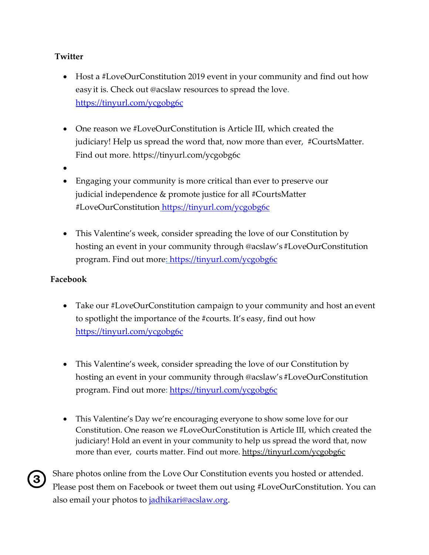#### **Twitter**

- Host a #LoveOurConstitution 2019 event in your community and find out how easyit is. Check out @acslaw resources to spread the love. <https://tinyurl.com/ycgobg6c>
- One reason we #LoveOurConstitution is Article III, which created the judiciary! Help us spread the word that, now more than ever, #CourtsMatter. Find out more. https://tinyurl.com/ycgobg6c
- •
- Engaging your community is more critical than ever to preserve our judicial independence & promote justice for all #CourtsMatter #LoveOurConstitution <https://tinyurl.com/ycgobg6c>
- This Valentine's week, consider spreading the love of our Constitution by hosting an event in your community through @acslaw's #LoveOurConstitution program. Find out more:<https://tinyurl.com/ycgobg6c>

#### **Facebook**

- Take our #LoveOurConstitution campaign to your community and host an event to spotlight the importance of the #courts. It's easy, find out how <https://tinyurl.com/ycgobg6c>
- This Valentine's week, consider spreading the love of our Constitution by hosting an event in your community through @acslaw's #LoveOurConstitution program. Find out more:<https://tinyurl.com/ycgobg6c>
- This Valentine's Day we're encouraging everyone to show some love for our Constitution. One reason we #LoveOurConstitution is Article III, which created the judiciary! Hold an event in your community to help us spread the word that, now more than ever, courts matter. Find out more.<https://tinyurl.com/ycgobg6c>

Share photos online from the Love Our Constitution events you hosted or attended. Please post them on Facebook or tweet them out using #LoveOurConstitution. You can also email your photos to [jadhikari@acslaw.org.](mailto:jadhikari@acslaw.org)